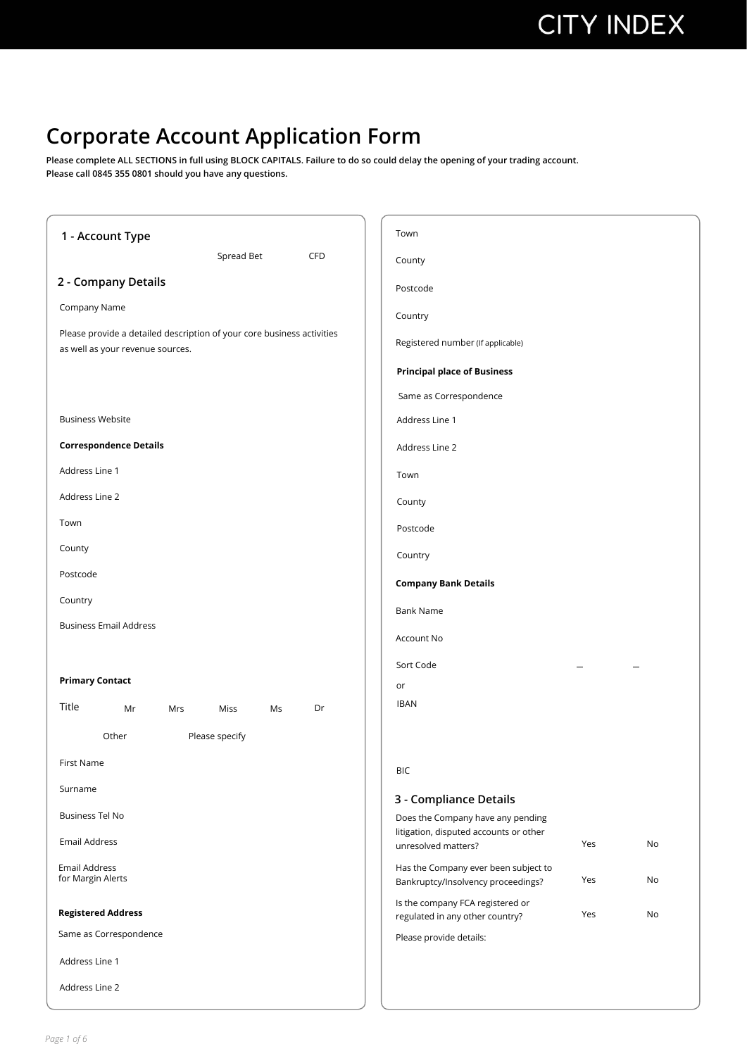### **Corporate Account Application Form**

**Please complete ALL SECTIONS in full using BLOCK CAPITALS. Failure to do so could delay the opening of your trading account. Please call 0845 355 0801 should you have any questions.**

| 1 - Account Type                                                                                           | Town                                                                                    |
|------------------------------------------------------------------------------------------------------------|-----------------------------------------------------------------------------------------|
| Spread Bet<br>CFD                                                                                          | County                                                                                  |
| 2 - Company Details                                                                                        | Postcode                                                                                |
| Company Name                                                                                               | Country                                                                                 |
| Please provide a detailed description of your core business activities<br>as well as your revenue sources. | Registered number (If applicable)                                                       |
|                                                                                                            | <b>Principal place of Business</b>                                                      |
|                                                                                                            | Same as Correspondence                                                                  |
| <b>Business Website</b>                                                                                    | Address Line 1                                                                          |
| <b>Correspondence Details</b>                                                                              | Address Line 2                                                                          |
| Address Line 1                                                                                             | Town                                                                                    |
| Address Line 2                                                                                             | County                                                                                  |
| Town                                                                                                       | Postcode                                                                                |
| County                                                                                                     | Country                                                                                 |
| Postcode                                                                                                   | <b>Company Bank Details</b>                                                             |
| Country                                                                                                    | <b>Bank Name</b>                                                                        |
| <b>Business Email Address</b>                                                                              | Account No                                                                              |
|                                                                                                            | Sort Code                                                                               |
| <b>Primary Contact</b>                                                                                     | or                                                                                      |
| Title<br>Dr<br>Mr<br>Mrs<br>Miss<br>Ms                                                                     | <b>IBAN</b>                                                                             |
| Please specify<br>Other                                                                                    |                                                                                         |
| <b>First Name</b>                                                                                          | BIC                                                                                     |
| Surname                                                                                                    |                                                                                         |
| <b>Business Tel No</b>                                                                                     | 3 - Compliance Details<br>Does the Company have any pending                             |
| <b>Email Address</b>                                                                                       | litigation, disputed accounts or other<br>Yes<br>No<br>unresolved matters?              |
| Email Address<br>for Margin Alerts                                                                         | Has the Company ever been subject to<br>No<br>Yes<br>Bankruptcy/Insolvency proceedings? |
| <b>Registered Address</b>                                                                                  | Is the company FCA registered or<br>Yes<br>No<br>regulated in any other country?        |
| Same as Correspondence                                                                                     | Please provide details:                                                                 |
| Address Line 1                                                                                             |                                                                                         |
| Address Line 2                                                                                             |                                                                                         |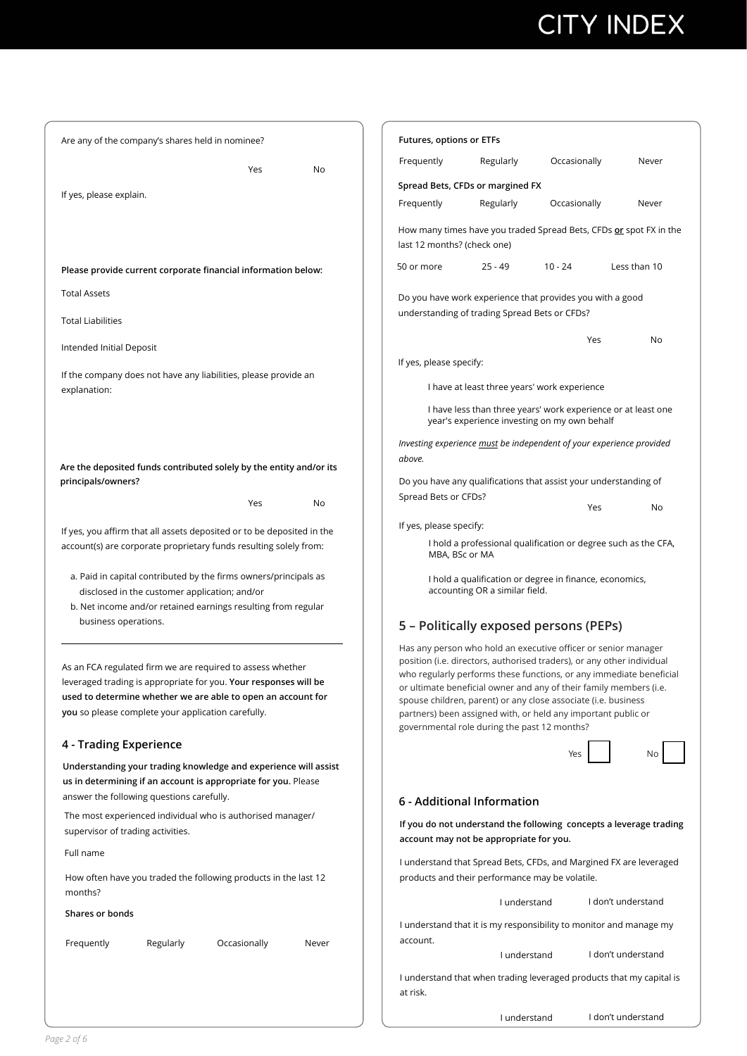# **CITY INDEX**

I understand I don't understand

| Are any of the company's shares held in nominee?                                                                                                                                                                                                     | Futures, options or ETFs                                                                                                                                                                                                                                                                                                                                                                                                                                                 |  |  |
|------------------------------------------------------------------------------------------------------------------------------------------------------------------------------------------------------------------------------------------------------|--------------------------------------------------------------------------------------------------------------------------------------------------------------------------------------------------------------------------------------------------------------------------------------------------------------------------------------------------------------------------------------------------------------------------------------------------------------------------|--|--|
| Yes<br>No                                                                                                                                                                                                                                            | Frequently<br>Regularly<br>Occasionally<br>Never                                                                                                                                                                                                                                                                                                                                                                                                                         |  |  |
|                                                                                                                                                                                                                                                      | Spread Bets, CFDs or margined FX                                                                                                                                                                                                                                                                                                                                                                                                                                         |  |  |
| If yes, please explain.                                                                                                                                                                                                                              | Frequently<br>Regularly<br>Occasionally<br>Never                                                                                                                                                                                                                                                                                                                                                                                                                         |  |  |
|                                                                                                                                                                                                                                                      | How many times have you traded Spread Bets, CFDs or spot FX in the<br>last 12 months? (check one)                                                                                                                                                                                                                                                                                                                                                                        |  |  |
| Please provide current corporate financial information below:                                                                                                                                                                                        | 50 or more<br>$10 - 24$<br>Less than 10<br>$25 - 49$                                                                                                                                                                                                                                                                                                                                                                                                                     |  |  |
| <b>Total Assets</b>                                                                                                                                                                                                                                  | Do you have work experience that provides you with a good                                                                                                                                                                                                                                                                                                                                                                                                                |  |  |
| <b>Total Liabilities</b>                                                                                                                                                                                                                             | understanding of trading Spread Bets or CFDs?                                                                                                                                                                                                                                                                                                                                                                                                                            |  |  |
| Intended Initial Deposit                                                                                                                                                                                                                             | Yes<br>No                                                                                                                                                                                                                                                                                                                                                                                                                                                                |  |  |
|                                                                                                                                                                                                                                                      | If yes, please specify:                                                                                                                                                                                                                                                                                                                                                                                                                                                  |  |  |
| If the company does not have any liabilities, please provide an<br>explanation:                                                                                                                                                                      | I have at least three years' work experience                                                                                                                                                                                                                                                                                                                                                                                                                             |  |  |
|                                                                                                                                                                                                                                                      | I have less than three years' work experience or at least one<br>year's experience investing on my own behalf                                                                                                                                                                                                                                                                                                                                                            |  |  |
|                                                                                                                                                                                                                                                      | Investing experience must be independent of your experience provided                                                                                                                                                                                                                                                                                                                                                                                                     |  |  |
| Are the deposited funds contributed solely by the entity and/or its                                                                                                                                                                                  | above.                                                                                                                                                                                                                                                                                                                                                                                                                                                                   |  |  |
| principals/owners?                                                                                                                                                                                                                                   | Do you have any qualifications that assist your understanding of                                                                                                                                                                                                                                                                                                                                                                                                         |  |  |
| Yes<br>No                                                                                                                                                                                                                                            | Spread Bets or CFDs?<br>Yes<br><b>No</b>                                                                                                                                                                                                                                                                                                                                                                                                                                 |  |  |
|                                                                                                                                                                                                                                                      | If yes, please specify:                                                                                                                                                                                                                                                                                                                                                                                                                                                  |  |  |
| If yes, you affirm that all assets deposited or to be deposited in the<br>account(s) are corporate proprietary funds resulting solely from:                                                                                                          | I hold a professional qualification or degree such as the CFA,<br>MBA, BSc or MA                                                                                                                                                                                                                                                                                                                                                                                         |  |  |
| a. Paid in capital contributed by the firms owners/principals as<br>disclosed in the customer application; and/or<br>b. Net income and/or retained earnings resulting from regular                                                                   | I hold a qualification or degree in finance, economics,<br>accounting OR a similar field.                                                                                                                                                                                                                                                                                                                                                                                |  |  |
| business operations.                                                                                                                                                                                                                                 | 5 - Politically exposed persons (PEPs)                                                                                                                                                                                                                                                                                                                                                                                                                                   |  |  |
| As an FCA regulated firm we are required to assess whether<br>leveraged trading is appropriate for you. Your responses will be<br>used to determine whether we are able to open an account for<br>you so please complete your application carefully. | Has any person who hold an executive officer or senior manager<br>position (i.e. directors, authorised traders), or any other individual<br>who regularly performs these functions, or any immediate beneficial<br>or ultimate beneficial owner and any of their family members (i.e.<br>spouse children, parent) or any close associate (i.e. business<br>partners) been assigned with, or held any important public or<br>governmental role during the past 12 months? |  |  |
| 4 - Trading Experience                                                                                                                                                                                                                               | Yes                                                                                                                                                                                                                                                                                                                                                                                                                                                                      |  |  |
| Understanding your trading knowledge and experience will assist<br>us in determining if an account is appropriate for you. Please<br>answer the following questions carefully.                                                                       |                                                                                                                                                                                                                                                                                                                                                                                                                                                                          |  |  |
| The most experienced individual who is authorised manager/                                                                                                                                                                                           | 6 - Additional Information                                                                                                                                                                                                                                                                                                                                                                                                                                               |  |  |
| supervisor of trading activities.                                                                                                                                                                                                                    | If you do not understand the following concepts a leverage trading<br>account may not be appropriate for you.                                                                                                                                                                                                                                                                                                                                                            |  |  |
| Full name                                                                                                                                                                                                                                            | I understand that Spread Bets, CFDs, and Margined FX are leveraged                                                                                                                                                                                                                                                                                                                                                                                                       |  |  |
| How often have you traded the following products in the last 12<br>months?                                                                                                                                                                           | products and their performance may be volatile.                                                                                                                                                                                                                                                                                                                                                                                                                          |  |  |
| Shares or bonds                                                                                                                                                                                                                                      | I don't understand<br>I understand                                                                                                                                                                                                                                                                                                                                                                                                                                       |  |  |
|                                                                                                                                                                                                                                                      | I understand that it is my responsibility to monitor and manage my<br>account.                                                                                                                                                                                                                                                                                                                                                                                           |  |  |
| Frequently<br>Occasionally<br>Regularly<br>Never                                                                                                                                                                                                     | I don't understand<br>I understand                                                                                                                                                                                                                                                                                                                                                                                                                                       |  |  |
|                                                                                                                                                                                                                                                      | I understand that when trading leveraged products that my capital is<br>at risk.                                                                                                                                                                                                                                                                                                                                                                                         |  |  |
|                                                                                                                                                                                                                                                      |                                                                                                                                                                                                                                                                                                                                                                                                                                                                          |  |  |

*Page 2 of 6*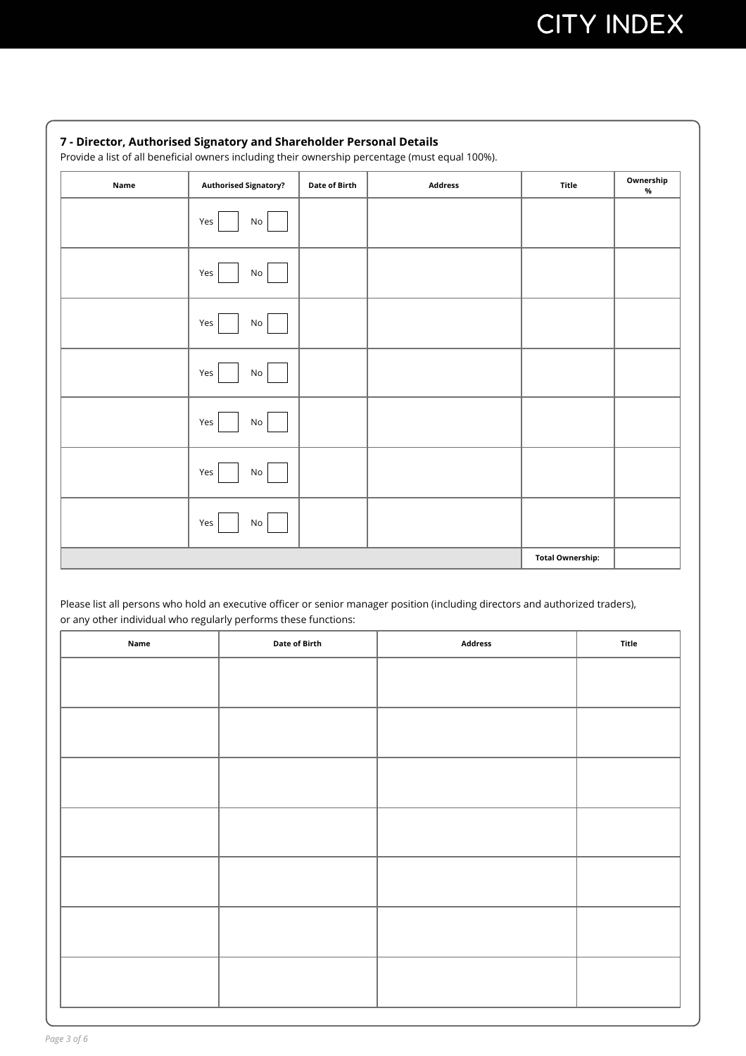### **Name Authorised Signatory?** Date of Birth **Address Property Convership C**  $\alpha$ **%** Yes Yes Yes Yes Yes Yes Yes No No No No No No No **Total Ownership: 7 - Director, Authorised Signatory and Shareholder Personal Details**  Provide a list of all beneficial owners including their ownership percentage (must equal 100%).

Please list all persons who hold an executive officer or senior manager position (including directors and authorized traders), or any other individual who regularly performs these functions:

| Name | Date of Birth | Address | Title |
|------|---------------|---------|-------|
|      |               |         |       |
|      |               |         |       |
|      |               |         |       |
|      |               |         |       |
|      |               |         |       |
|      |               |         |       |
|      |               |         |       |
|      |               |         |       |
|      |               |         |       |
|      |               |         |       |
|      |               |         |       |
|      |               |         |       |
|      |               |         |       |
|      |               |         |       |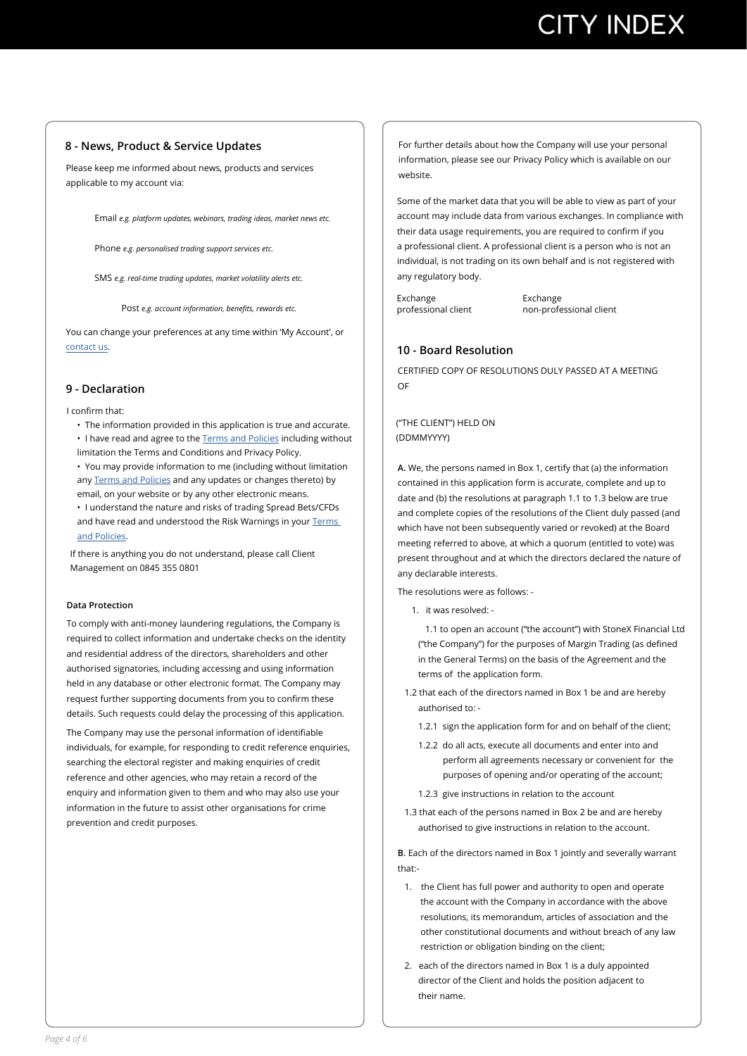#### **- News, Product & Service Updates**

Please keep me informed about news, products and services applicable to my account via:

Email *e.g. platform updates, webinars, trading ideas, market news etc.*

Phone *e.g. personalised trading support services etc.*

SMS *e.g. real-time trading updates, market volatility alerts etc.*

Post *e.g. account information, benefits, rewards etc.* 

You can change your preferences at any time within 'My Account', or [contact us.](https://www.cityindex.co.uk/contact-us/)

#### **9 - Declaration**

I confrm that:

- The information provided in this application is true and accurate. • I have read and agree to the [Terms and Policies](https://www.cityindex.co.uk/terms-and-policies/spread-bets-and-cfds/) including without limitation the Terms and Conditions and Privacy Policy.
- You may provide information to me (including without limitation any [Terms and Policies](https://www.cityindex.co.uk/terms-and-policies/spread-bets-and-cfds/) and any updates or changes thereto) by email, on your website or by any other electronic means.
- I understand the nature and risks of trading Spread Bets/CFDs and have read and understood the Risk Warnings in your [Terms](https://www.cityindex.co.uk/terms-and-policies/spread-bets-and-cfds/)  and Policies.

If there is anything you do not understand, please call Client Management on 0845 355 0801

#### **Data Protection**

To comply with anti-money laundering regulations, the Company is required to collect information and undertake checks on the identity and residential address of the directors, shareholders and other authorised signatories, including accessing and using information held in any database or other electronic format. The Company may re[quest furthe](https://www.cityindex.co.uk/terms-and-policies/spread-bets-and-cfds/)r supporting documents from you to confrm these details. Such requests could delay the processing of this application.

The Company may use the personal information of identifable individuals, for example, for responding to credit reference enquiries, searching the electoral register and making enquiries of credit reference and other agencies, who may retain a record of the enquiry and information given to them and who may also use your information in the future to assist other organisations for crime prevention and credit purposes.

For further details about how the Company will use your personal information, please see our Privacy Policy which is available on our website.

Some of the market data that you will be able to view as part of your account may include data from various exchanges. In compliance with their data usage requirements, you are required to confrm if you a professional client. A professional client is a person who is not an individual, is not trading on its own behalf and is not registered with any regulatory body.

Exchange professional client Exchange non-professional client

#### **10 - Board Resolution**

CERTIFIED COPY OF RESOLUTIONS DULY PASSED AT A MEETING OF

("THE CLIENT") HELD ON (DDMMYYYY)

**A.** We, the persons named in Box 1, certify that (a) the information contained in this application form is accurate, complete and up to date and (b) the resolutions at paragraph 1.1 to 1.3 below are true and complete copies of the resolutions of the Client duly passed (and which have not been subsequently varied or revoked) at the Board meeting referred to above, at which a quorum (entitled to vote) was present throughout and at which the directors declared the nature of any declarable interests.

The resolutions were as follows: -

1. it was resolved: -

1.1 to open an account ("the account") with StoneX Financial Ltd ("the Company") for the purposes of Margin Trading (as defned in the General Terms) on the basis of the Agreement and the terms of the application form.

- 1.2 that each of the directors named in Box 1 be and are hereby authorised to: -
	- 1.2.1 sign the application form for and on behalf of the client;
	- 1.2.2 do all acts, execute all documents and enter into and perform all agreements necessary or convenient for the purposes of opening and/or operating of the account;
	- 1.2.3 give instructions in relation to the account
- 1.3 that each of the persons named in Box 2 be and are hereby authorised to give instructions in relation to the account.

**B.** Each of the directors named in Box 1 jointly and severally warrant that:-

- 1. the Client has full power and authority to open and operate the account with the Company in accordance with the above resolutions, its memorandum, articles of association and the other constitutional documents and without breach of any law restriction or obligation binding on the client;
- 2. each of the directors named in Box 1 is a duly appointed director of the Client and holds the position adjacent to their name.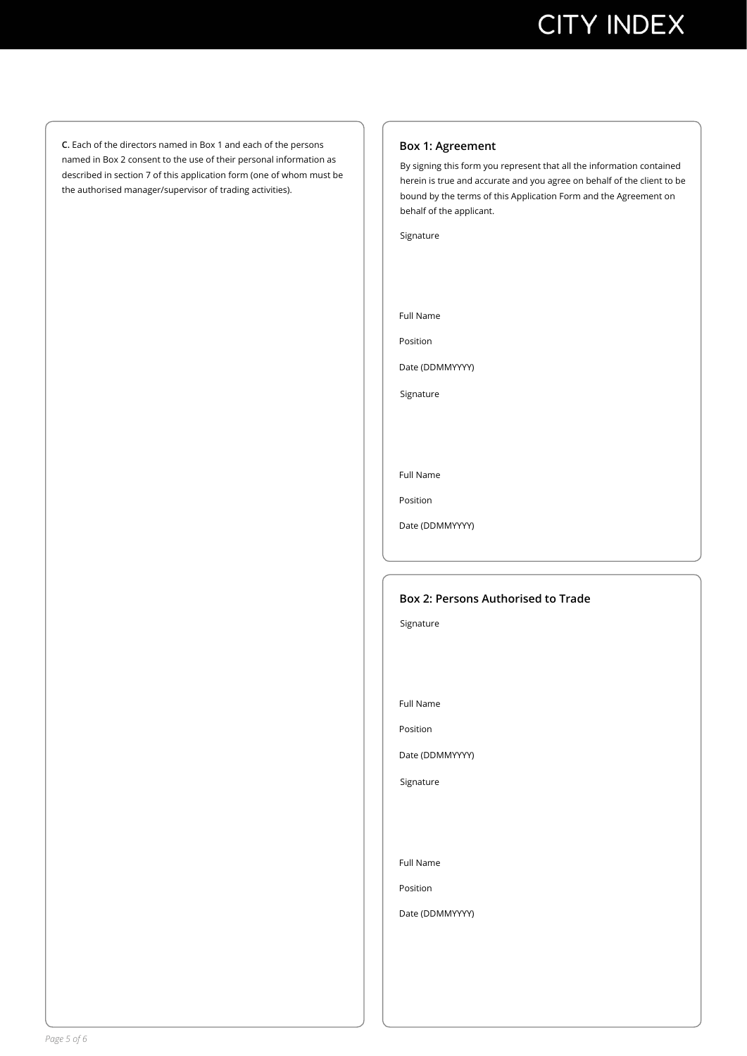**C.** Each of the directors named in Box 1 and each of the persons named in Box 2 consent to the use of their personal information as described in section 7 of this application form (one of whom must be the authorised manager/supervisor of trading activities).

#### **Box 1: Agreement**

By signing this form you represent that all the information contained herein is true and accurate and you agree on behalf of the client to be bound by the terms of this Application Form and the Agreement on behalf of the applicant.

Signature

Full Name

Position

Date (DDMMYYYY)

Signature

Full Name

Position

Date (DDMMYYYY)

#### **Box 2: Persons Authorised to Trade**

Signature

Full Name

Position

Date (DDMMYYYY)

Signature

Full Name

Position

Date (DDMMYYYY)